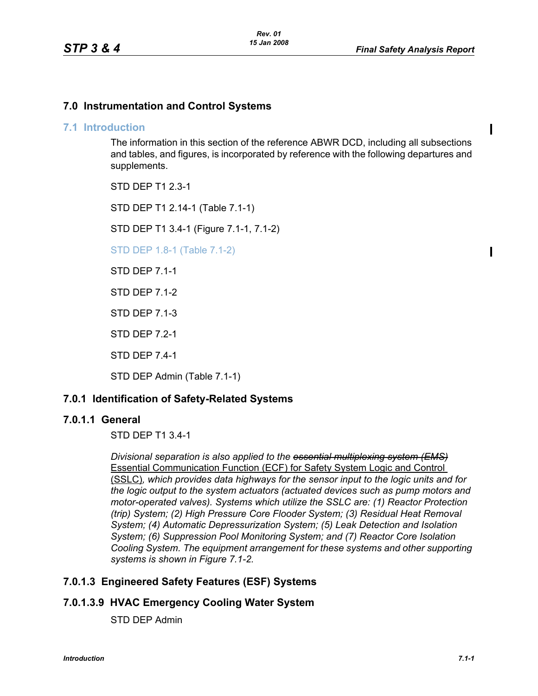Ι

 $\blacksquare$ 

## **7.0 Instrumentation and Control Systems**

### **7.1 Introduction**

The information in this section of the reference ABWR DCD, including all subsections and tables, and figures, is incorporated by reference with the following departures and supplements.

STD DEP T1 2.3-1

STD DEP T1 2.14-1 (Table 7.1-1)

STD DEP T1 3.4-1 (Figure 7.1-1, 7.1-2)

STD DEP 1.8-1 (Table 7.1-2)

STD DEP 7.1-1

STD DEP 7.1-2

STD DEP 7.1-3

STD DEP 7.2-1

STD DEP 7.4-1

STD DEP Admin (Table 7.1-1)

## **7.0.1 Identification of Safety-Related Systems**

### **7.0.1.1 General**

STD DEP T1 3.4-1

*Divisional separation is also applied to the essential multiplexing system (EMS)* Essential Communication Function (ECF) for Safety System Logic and Control (SSLC)*, which provides data highways for the sensor input to the logic units and for the logic output to the system actuators (actuated devices such as pump motors and motor-operated valves). Systems which utilize the SSLC are: (1) Reactor Protection (trip) System; (2) High Pressure Core Flooder System; (3) Residual Heat Removal System; (4) Automatic Depressurization System; (5) Leak Detection and Isolation System; (6) Suppression Pool Monitoring System; and (7) Reactor Core Isolation Cooling System. The equipment arrangement for these systems and other supporting systems is shown in Figure 7.1-2.*

# **7.0.1.3 Engineered Safety Features (ESF) Systems**

# **7.0.1.3.9 HVAC Emergency Cooling Water System**

STD DEP Admin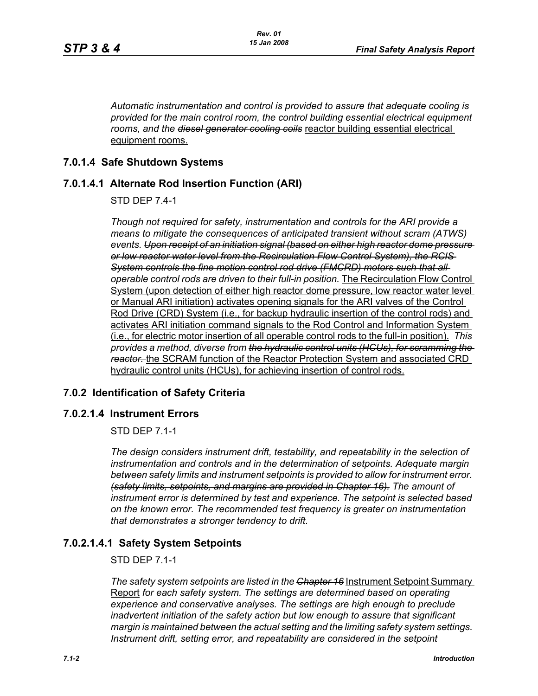*Automatic instrumentation and control is provided to assure that adequate cooling is provided for the main control room, the control building essential electrical equipment rooms, and the diesel generator cooling coils* reactor building essential electrical equipment rooms.

## **7.0.1.4 Safe Shutdown Systems**

## **7.0.1.4.1 Alternate Rod Insertion Function (ARI)**

STD DEP 7.4-1

*Though not required for safety, instrumentation and controls for the ARI provide a means to mitigate the consequences of anticipated transient without scram (ATWS) events. Upon receipt of an initiation signal (based on either high reactor dome pressure or low reactor water level from the Recirculation Flow Control System), the RCIS System controls the fine motion control rod drive (FMCRD) motors such that all operable control rods are driven to their full-in position.* The Recirculation Flow Control System (upon detection of either high reactor dome pressure, low reactor water level or Manual ARI initiation) activates opening signals for the ARI valves of the Control Rod Drive (CRD) System (i.e., for backup hydraulic insertion of the control rods) and activates ARI initiation command signals to the Rod Control and Information System (i.e., for electric motor insertion of all operable control rods to the full-in position). *This provides a method, diverse from the hydraulic control units (HCUs), for scramming the reactor.* the SCRAM function of the Reactor Protection System and associated CRD hydraulic control units (HCUs), for achieving insertion of control rods.

### **7.0.2 Identification of Safety Criteria**

### **7.0.2.1.4 Instrument Errors**

STD DEP 7.1-1

*The design considers instrument drift, testability, and repeatability in the selection of instrumentation and controls and in the determination of setpoints. Adequate margin between safety limits and instrument setpoints is provided to allow for instrument error. (safety limits, setpoints, and margins are provided in Chapter 16). The amount of instrument error is determined by test and experience. The setpoint is selected based on the known error. The recommended test frequency is greater on instrumentation that demonstrates a stronger tendency to drift.*

## **7.0.2.1.4.1 Safety System Setpoints**

STD DEP 7.1-1

*The safety system setpoints are listed in the Chapter 16* Instrument Setpoint Summary Report *for each safety system. The settings are determined based on operating experience and conservative analyses. The settings are high enough to preclude inadvertent initiation of the safety action but low enough to assure that significant margin is maintained between the actual setting and the limiting safety system settings. Instrument drift, setting error, and repeatability are considered in the setpoint*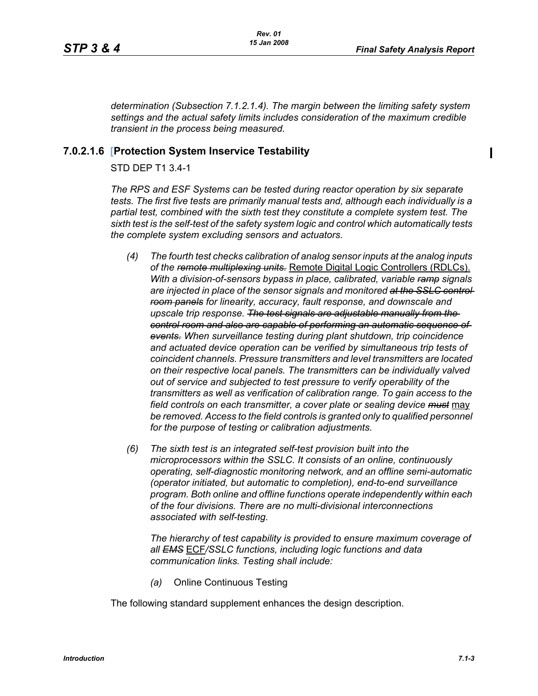П

*determination (Subsection 7.1.2.1.4). The margin between the limiting safety system settings and the actual safety limits includes consideration of the maximum credible transient in the process being measured.*

## **7.0.2.1.6 [Protection System Inservice Testability**

### STD DEP T1 3.4-1

*The RPS and ESF Systems can be tested during reactor operation by six separate tests. The first five tests are primarily manual tests and, although each individually is a partial test, combined with the sixth test they constitute a complete system test. The sixth test is the self-test of the safety system logic and control which automatically tests the complete system excluding sensors and actuators.*

- *(4) The fourth test checks calibration of analog sensor inputs at the analog inputs of the remote multiplexing units.* Remote Digital Logic Controllers (RDLCs). *With a division-of-sensors bypass in place, calibrated, variable ramp signals are injected in place of the sensor signals and monitored at the SSLC control room panels for linearity, accuracy, fault response, and downscale and upscale trip response. The test signals are adjustable manually from the control room and also are capable of performing an automatic sequence of events. When surveillance testing during plant shutdown, trip coincidence and actuated device operation can be verified by simultaneous trip tests of coincident channels. Pressure transmitters and level transmitters are located on their respective local panels. The transmitters can be individually valved out of service and subjected to test pressure to verify operability of the transmitters as well as verification of calibration range. To gain access to the field controls on each transmitter, a cover plate or sealing device must* may be removed. Access to the field controls is granted only to qualified personnel *for the purpose of testing or calibration adjustments.*
- *(6) The sixth test is an integrated self-test provision built into the microprocessors within the SSLC. It consists of an online, continuously operating, self-diagnostic monitoring network, and an offline semi-automatic (operator initiated, but automatic to completion), end-to-end surveillance program. Both online and offline functions operate independently within each of the four divisions. There are no multi-divisional interconnections associated with self-testing.*

*The hierarchy of test capability is provided to ensure maximum coverage of all EMS* ECF*/SSLC functions, including logic functions and data communication links. Testing shall include:*

*(a)* Online Continuous Testing

The following standard supplement enhances the design description.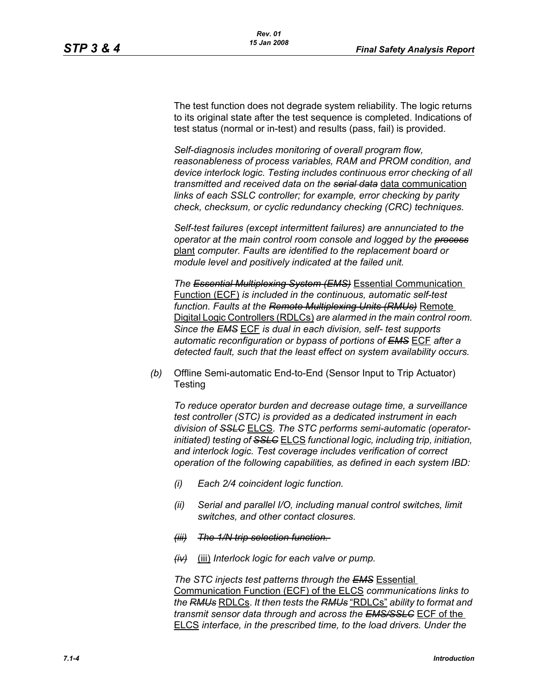The test function does not degrade system reliability. The logic returns to its original state after the test sequence is completed. Indications of test status (normal or in-test) and results (pass, fail) is provided.

*Self-diagnosis includes monitoring of overall program flow, reasonableness of process variables, RAM and PROM condition, and device interlock logic. Testing includes continuous error checking of all transmitted and received data on the serial data* data communication *links of each SSLC controller; for example, error checking by parity check, checksum, or cyclic redundancy checking (CRC) techniques.*

*Self-test failures (except intermittent failures) are annunciated to the operator at the main control room console and logged by the process* plant *computer. Faults are identified to the replacement board or module level and positively indicated at the failed unit.*

*The Essential Multiplexing System (EMS)* Essential Communication Function (ECF) *is included in the continuous, automatic self-test function. Faults at the Remote Multiplexing Units (RMUs)* Remote Digital Logic Controllers (RDLCs) *are alarmed in the main control room. Since the EMS* ECF *is dual in each division, self- test supports automatic reconfiguration or bypass of portions of EMS* ECF *after a detected fault, such that the least effect on system availability occurs.*

*(b)* Offline Semi-automatic End-to-End (Sensor Input to Trip Actuator) **Testing** 

*To reduce operator burden and decrease outage time, a surveillance test controller (STC) is provided as a dedicated instrument in each division of SSLC* ELCS. *The STC performs semi-automatic (operatorinitiated) testing of SSLC* ELCS *functional logic, including trip, initiation, and interlock logic. Test coverage includes verification of correct operation of the following capabilities, as defined in each system IBD:*

- *(i) Each 2/4 coincident logic function.*
- *(ii) Serial and parallel I/O, including manual control switches, limit switches, and other contact closures.*
- *(iii) The 1/N trip selection function.*
- *(iv)* (iii) *Interlock logic for each valve or pump.*

*The STC injects test patterns through the EMS* Essential Communication Function (ECF) of the ELCS *communications links to the RMUs* RDLCs. *It then tests the RMUs* "RDLCs" *ability to format and transmit sensor data through and across the EMS/SSLC* ECF of the ELCS *interface, in the prescribed time, to the load drivers. Under the*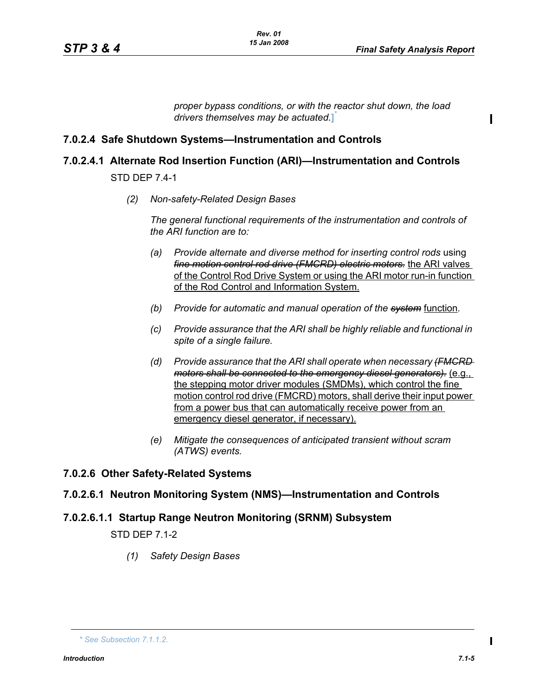*proper bypass conditions, or with the reactor shut down, the load drivers themselves may be actuated.***]** \*

## **7.0.2.4 Safe Shutdown Systems—Instrumentation and Controls**

## **7.0.2.4.1 Alternate Rod Insertion Function (ARI)—Instrumentation and Controls**

STD DEP 7.4-1

*(2) Non-safety-Related Design Bases*

*The general functional requirements of the instrumentation and controls of the ARI function are to:*

- *(a) Provide alternate and diverse method for inserting control rods using fine motion control rod drive (FMCRD) electric motors.* the ARI valves of the Control Rod Drive System or using the ARI motor run-in function of the Rod Control and Information System.
- *(b) Provide for automatic and manual operation of the system* function*.*
- *(c) Provide assurance that the ARI shall be highly reliable and functional in spite of a single failure.*
- *(d) Provide assurance that the ARI shall operate when necessary (FMCRD motors shall be connected to the emergency diesel generators).* (e.g., the stepping motor driver modules (SMDMs), which control the fine motion control rod drive (FMCRD) motors, shall derive their input power from a power bus that can automatically receive power from an emergency diesel generator, if necessary).
- *(e) Mitigate the consequences of anticipated transient without scram (ATWS) events.*

### **7.0.2.6 Other Safety-Related Systems**

### **7.0.2.6.1 Neutron Monitoring System (NMS)—Instrumentation and Controls**

# **7.0.2.6.1.1 Startup Range Neutron Monitoring (SRNM) Subsystem**

STD DEP 7.1-2

*(1) Safety Design Bases*

П

*<sup>\*</sup> See Subsection 7.1.1.2.*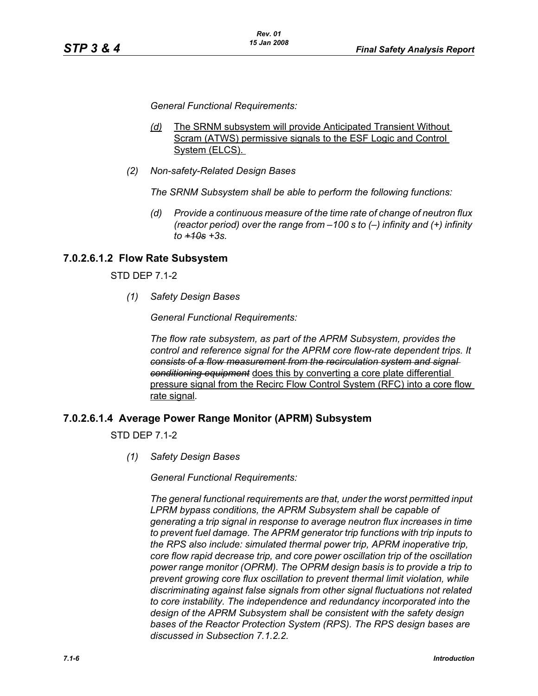*General Functional Requirements:*

- *(d)* The SRNM subsystem will provide Anticipated Transient Without Scram (ATWS) permissive signals to the ESF Logic and Control System (ELCS).
- *(2) Non-safety-Related Design Bases*

*The SRNM Subsystem shall be able to perform the following functions:*

*(d) Provide a continuous measure of the time rate of change of neutron flux (reactor period) over the range from –100 s to (–) infinity and (+) infinity to +10s +3s.*

## **7.0.2.6.1.2 Flow Rate Subsystem**

STD DEP 7.1-2

*(1) Safety Design Bases*

*General Functional Requirements:*

*The flow rate subsystem, as part of the APRM Subsystem, provides the control and reference signal for the APRM core flow-rate dependent trips. It consists of a flow measurement from the recirculation system and signal conditioning equipment* does this by converting a core plate differential pressure signal from the Recirc Flow Control System (RFC) into a core flow rate signal*.*

### **7.0.2.6.1.4 Average Power Range Monitor (APRM) Subsystem**

STD DEP 7.1-2

*(1) Safety Design Bases*

*General Functional Requirements:*

*The general functional requirements are that, under the worst permitted input LPRM bypass conditions, the APRM Subsystem shall be capable of generating a trip signal in response to average neutron flux increases in time to prevent fuel damage. The APRM generator trip functions with trip inputs to the RPS also include: simulated thermal power trip, APRM inoperative trip, core flow rapid decrease trip, and core power oscillation trip of the oscillation power range monitor (OPRM). The OPRM design basis is to provide a trip to prevent growing core flux oscillation to prevent thermal limit violation, while discriminating against false signals from other signal fluctuations not related to core instability. The independence and redundancy incorporated into the design of the APRM Subsystem shall be consistent with the safety design bases of the Reactor Protection System (RPS). The RPS design bases are discussed in Subsection 7.1.2.2.*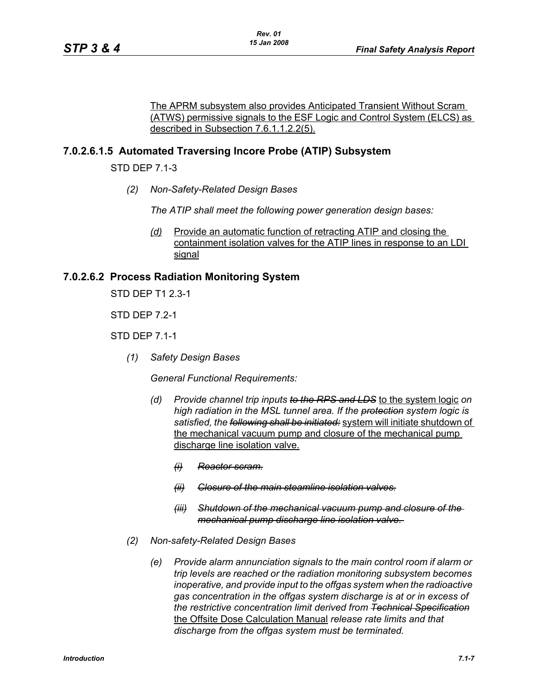The APRM subsystem also provides Anticipated Transient Without Scram (ATWS) permissive signals to the ESF Logic and Control System (ELCS) as described in Subsection 7.6.1.1.2.2(5).

## **7.0.2.6.1.5 Automated Traversing Incore Probe (ATIP) Subsystem**

STD DEP 7.1-3

*(2) Non-Safety-Related Design Bases*

*The ATIP shall meet the following power generation design bases:*

*(d)* Provide an automatic function of retracting ATIP and closing the containment isolation valves for the ATIP lines in response to an LDI signal

### **7.0.2.6.2 Process Radiation Monitoring System**

STD DEP T1 2.3-1

STD DEP 7.2-1

STD DEP 7.1-1

*(1) Safety Design Bases*

*General Functional Requirements:*

- *(d) Provide channel trip inputs to the RPS and LDS* to the system logic *on high radiation in the MSL tunnel area. If the protection system logic is satisfied, the following shall be initiated:* system will initiate shutdown of the mechanical vacuum pump and closure of the mechanical pump discharge line isolation valve.
	- *(i) Reactor scram.*
	- *(ii) Closure of the main steamline isolation valves.*
	- *(iii) Shutdown of the mechanical vacuum pump and closure of the mechanical pump discharge line isolation valve.*
- *(2) Non-safety-Related Design Bases*
	- *(e) Provide alarm annunciation signals to the main control room if alarm or trip levels are reached or the radiation monitoring subsystem becomes inoperative, and provide input to the offgas system when the radioactive gas concentration in the offgas system discharge is at or in excess of the restrictive concentration limit derived from Technical Specification* the Offsite Dose Calculation Manual *release rate limits and that discharge from the offgas system must be terminated.*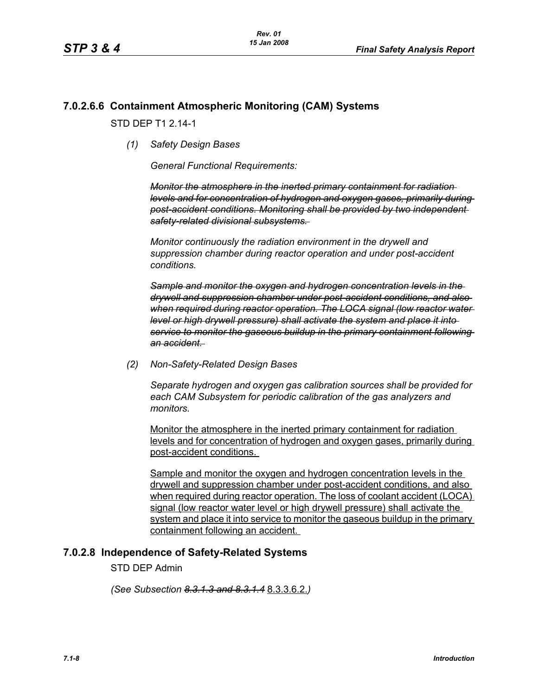## **7.0.2.6.6 Containment Atmospheric Monitoring (CAM) Systems**

STD DFP T1 2 14-1

*(1) Safety Design Bases*

*General Functional Requirements:*

*Monitor the atmosphere in the inerted primary containment for radiation levels and for concentration of hydrogen and oxygen gases, primarily during post-accident conditions. Monitoring shall be provided by two independent safety-related divisional subsystems.* 

*Monitor continuously the radiation environment in the drywell and suppression chamber during reactor operation and under post-accident conditions.* 

*Sample and monitor the oxygen and hydrogen concentration levels in the drywell and suppression chamber under post-accident conditions, and also when required during reactor operation. The LOCA signal (low reactor water level or high drywell pressure) shall activate the system and place it into service to monitor the gaseous buildup in the primary containment following an accident.* 

*(2) Non-Safety-Related Design Bases*

*Separate hydrogen and oxygen gas calibration sources shall be provided for each CAM Subsystem for periodic calibration of the gas analyzers and monitors.* 

Monitor the atmosphere in the inerted primary containment for radiation levels and for concentration of hydrogen and oxygen gases, primarily during post-accident conditions.

Sample and monitor the oxygen and hydrogen concentration levels in the drywell and suppression chamber under post-accident conditions, and also when required during reactor operation. The loss of coolant accident (LOCA) signal (low reactor water level or high drywell pressure) shall activate the system and place it into service to monitor the gaseous buildup in the primary containment following an accident.

### **7.0.2.8 Independence of Safety-Related Systems**

STD DEP Admin

*(See Subsection 8.3.1.3 and 8.3.1.4* 8.3.3.6.2.*)*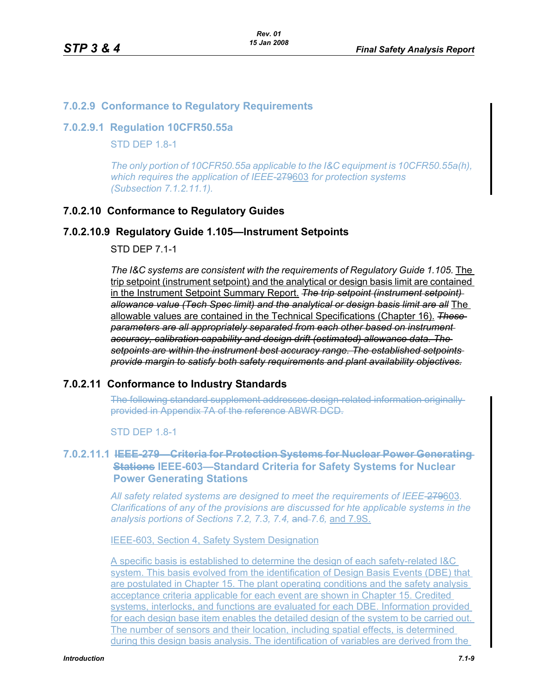## **7.0.2.9 Conformance to Regulatory Requirements**

#### **7.0.2.9.1 Regulation 10CFR50.55a**

**STD DFP 1.8-1** 

*The only portion of 10CFR50.55a applicable to the I&C equipment is 10CFR50.55a(h), which requires the application of IEEE-*279603 *for protection systems (Subsection 7.1.2.11.1).*

### **7.0.2.10 Conformance to Regulatory Guides**

### **7.0.2.10.9 Regulatory Guide 1.105—Instrument Setpoints**

STD DEP 7.1-1

The I&C systems are consistent with the requirements of Regulatory Guide 1.105. The trip setpoint (instrument setpoint) and the analytical or design basis limit are contained in the Instrument Setpoint Summary Report. *The trip setpoint (instrument setpoint) allowance value (Tech Spec limit) and the analytical or design basis limit are all* The allowable values are contained in the Technical Specifications (Chapter 16). *These parameters are all appropriately separated from each other based on instrument accuracy, calibration capability and design drift (estimated) allowance data. The setpoints are within the instrument best accuracy range. The established setpoints provide margin to satisfy both safety requirements and plant availability objectives.*

### **7.0.2.11 Conformance to Industry Standards**

The following standard supplement addresses design-related information originally provided in Appendix 7A of the reference ABWR DCD.

STD DEP 1.8-1

## **7.0.2.11.1 IEEE-279—Criteria for Protection Systems for Nuclear Power Generating Stations IEEE-603—Standard Criteria for Safety Systems for Nuclear Power Generating Stations**

*All safety related systems are designed to meet the requirements of IEEE-*279603*. Clarifications of any of the provisions are discussed for hte applicable systems in the analysis portions of Sections 7.2, 7.3, 7.4,* and *7.6,* and 7.9S.

IEEE-603, Section 4, Safety System Designation

A specific basis is established to determine the design of each safety-related I&C system. This basis evolved from the identification of Design Basis Events (DBE) that are postulated in Chapter 15. The plant operating conditions and the safety analysis acceptance criteria applicable for each event are shown in Chapter 15. Credited systems, interlocks, and functions are evaluated for each DBE. Information provided for each design base item enables the detailed design of the system to be carried out. The number of sensors and their location, including spatial effects, is determined during this design basis analysis. The identification of variables are derived from the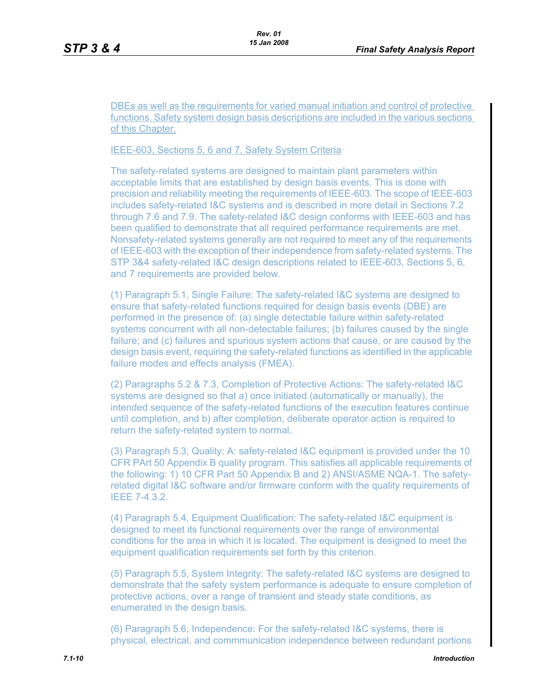DBEs as well as the requirements for varied manual initiation and control of protective functions. Safety system design basis descriptions are included in the various sections of this Chapter.

#### IEEE-603, Sections 5, 6 and 7, Safety System Criteria

The safety-related systems are designed to maintain plant parameters within acceptable limits that are established by design basis events. This is done with precision and reliability meeting the requirements of IEEE-603. The scope of IEEE-603 includes safety-related I&C systems and is described in more detail in Sections 7.2 through 7.6 and 7.9. The safety-related I&C design conforms with IEEE-603 and has been qualified to demonstrate that all required performance requirements are met. Nonsafety-related systems generally are not required to meet any of the requirements of IEEE-603 with the exception of their independence from safety-related systems. The STP 3&4 safety-related I&C design descriptions related to IEEE-603, Sections 5, 6, and 7 requirements are provided below.

(1) Paragraph 5.1, Single Failure: The safety-related I&C systems are designed to ensure that safety-related functions required for design basis events (DBE) are performed in the presence of: (a) single detectable failure within safety-related systems concurrent with all non-detectable failures; (b) failures caused by the single failure; and (c) failures and spurious system actions that cause, or are caused by the design basis event, requiring the safety-related functions as identified in the applicable failure modes and effects analysis (FMEA).

(2) Paragraphs 5.2 & 7.3, Completion of Protective Actions: The safety-related I&C systems are designed so that a) once initiated (automatically or manually), the intended sequence of the safety-related functions of the execution features continue until completion, and b) after completion, deliberate operator action is required to return the safety-related system to normal.

(3) Paragraph 5.3, Quality: A: safety-related I&C equipment is provided under the 10 CFR PArt 50 Appendix B quality program. This satisfies all applicable requirements of the following: 1) 10 CFR Part 50 Appendix B and 2) ANSI/ASME NQA-1. The safetyrelated digital I&C software and/or firmware conform with the quality requirements of IEEE 7-4.3.2.

(4) Paragraph 5.4, Equipment Qualification: The safety-related I&C equipment is designed to meet its functional requirements over the range of environmental conditions for the area in which it is located. The equipment is designed to meet the equipment qualification requirements set forth by this criterion.

(5) Paragraph 5.5, System Integrity: The safety-related I&C systems are designed to demonstrate that the safety system performance is adequate to ensure completion of protective actions, over a range of transient and steady state conditions, as enumerated in the design basis.

(6) Paragraph 5.6, Independence: For the safety-related I&C systems, there is physical, electrical, and commmunication independence between redundant portions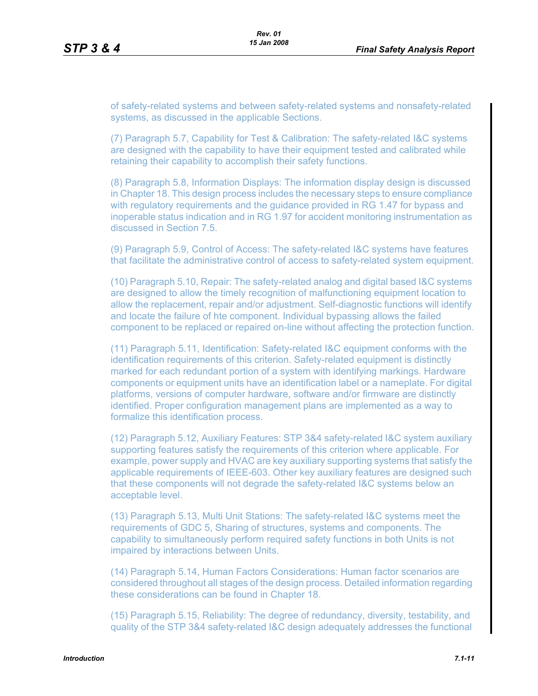of safety-related systems and between safety-related systems and nonsafety-related systems, as discussed in the applicable Sections.

(7) Paragraph 5.7, Capability for Test & Calibration: The safety-related I&C systems are designed with the capability to have their equipment tested and calibrated while retaining their capability to accomplish their safety functions.

(8) Paragraph 5.8, Information Displays: The information display design is discussed in Chapter 18. This design process includes the necessary steps to ensure compliance with regulatory requirements and the guidance provided in RG 1.47 for bypass and inoperable status indication and in RG 1.97 for accident monitoring instrumentation as discussed in Section 7.5.

(9) Paragraph 5.9, Control of Access: The safety-related I&C systems have features that facilitate the administrative control of access to safety-related system equipment.

(10) Paragraph 5.10, Repair: The safety-related analog and digital based I&C systems are designed to allow the timely recognition of malfunctioning equipment location to allow the replacement, repair and/or adjustment. Self-diagnostic functions will identify and locate the failure of hte component. Individual bypassing allows the failed component to be replaced or repaired on-line without affecting the protection function.

(11) Paragraph 5.11, Identification: Safety-related I&C equipment conforms with the identification requirements of this criterion. Safety-related equipment is distinctly marked for each redundant portion of a system with identifying markings. Hardware components or equipment units have an identification label or a nameplate. For digital platforms, versions of computer hardware, software and/or firmware are distinctly identified. Proper configuration management plans are implemented as a way to formalize this identification process.

(12) Paragraph 5.12, Auxiliary Features: STP 3&4 safety-related I&C system auxiliary supporting features satisfy the requirements of this criterion where applicable. For example, power supply and HVAC are key auxiliary supporting systems that satisfy the applicable requirements of IEEE-603. Other key auxiliary features are designed such that these components will not degrade the safety-related I&C systems below an acceptable level.

(13) Paragraph 5.13, Multi Unit Stations: The safety-related I&C systems meet the requirements of GDC 5, Sharing of structures, systems and components. The capability to simultaneously perform required safety functions in both Units is not impaired by interactions between Units.

(14) Paragraph 5.14, Human Factors Considerations: Human factor scenarios are considered throughout all stages of the design process. Detailed information regarding these considerations can be found in Chapter 18.

(15) Paragraph 5.15, Reliability: The degree of redundancy, diversity, testability, and quality of the STP 3&4 safety-related I&C design adequately addresses the functional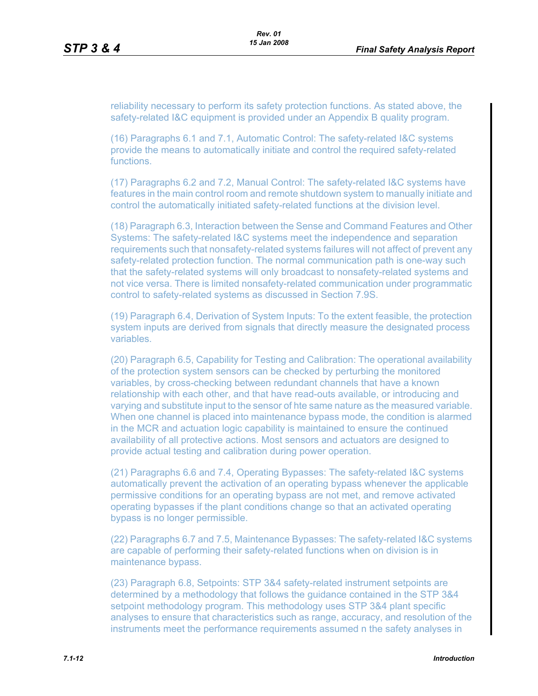reliability necessary to perform its safety protection functions. As stated above, the safety-related I&C equipment is provided under an Appendix B quality program.

(16) Paragraphs 6.1 and 7.1, Automatic Control: The safety-related I&C systems provide the means to automatically initiate and control the required safety-related functions.

(17) Paragraphs 6.2 and 7.2, Manual Control: The safety-related I&C systems have features in the main control room and remote shutdown system to manually initiate and control the automatically initiated safety-related functions at the division level.

(18) Paragraph 6.3, Interaction between the Sense and Command Features and Other Systems: The safety-related I&C systems meet the independence and separation requirements such that nonsafety-related systems failures will not affect of prevent any safety-related protection function. The normal communication path is one-way such that the safety-related systems will only broadcast to nonsafety-related systems and not vice versa. There is limited nonsafety-related communication under programmatic control to safety-related systems as discussed in Section 7.9S.

(19) Paragraph 6.4, Derivation of System Inputs: To the extent feasible, the protection system inputs are derived from signals that directly measure the designated process variables.

(20) Paragraph 6.5, Capability for Testing and Calibration: The operational availability of the protection system sensors can be checked by perturbing the monitored variables, by cross-checking between redundant channels that have a known relationship with each other, and that have read-outs available, or introducing and varying and substitute input to the sensor of hte same nature as the measured variable. When one channel is placed into maintenance bypass mode, the condition is alarmed in the MCR and actuation logic capability is maintained to ensure the continued availability of all protective actions. Most sensors and actuators are designed to provide actual testing and calibration during power operation.

(21) Paragraphs 6.6 and 7.4, Operating Bypasses: The safety-related I&C systems automatically prevent the activation of an operating bypass whenever the applicable permissive conditions for an operating bypass are not met, and remove activated operating bypasses if the plant conditions change so that an activated operating bypass is no longer permissible.

(22) Paragraphs 6.7 and 7.5, Maintenance Bypasses: The safety-related I&C systems are capable of performing their safety-related functions when on division is in maintenance bypass.

(23) Paragraph 6.8, Setpoints: STP 3&4 safety-related instrument setpoints are determined by a methodology that follows the guidance contained in the STP 3&4 setpoint methodology program. This methodology uses STP 3&4 plant specific analyses to ensure that characteristics such as range, accuracy, and resolution of the instruments meet the performance requirements assumed n the safety analyses in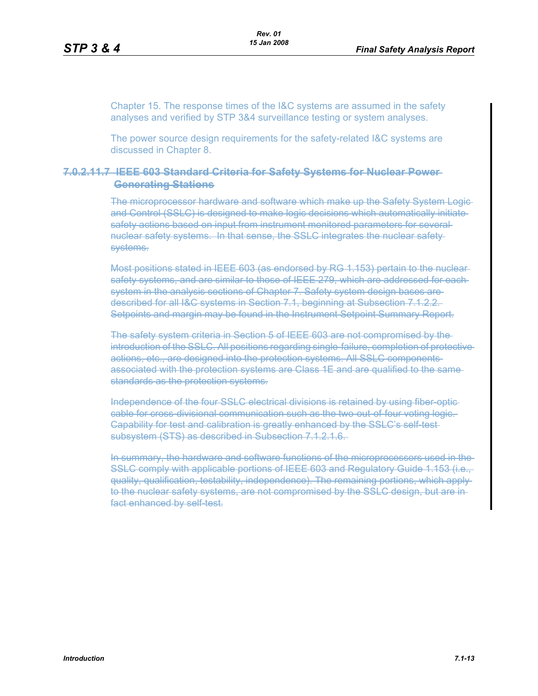Chapter 15. The response times of the I&C systems are assumed in the safety analyses and verified by STP 3&4 surveillance testing or system analyses.

The power source design requirements for the safety-related I&C systems are discussed in Chapter 8.

#### **7.0.2.11.7 IEEE 603 Standard Criteria for Safety Systems for Nuclear Power Generating Stations**

The microprocessor hardware and software which make up the Safety System Logic and Control (SSLC) is designed to make logic decisions which automatically initiate safety actions based on input from instrument monitored parameters for several nuclear safety systems. In that sense, the SSLC integrates the nuclear safety systems.

Most positions stated in IEEE 603 (as endorsed by RG 1.153) pertain to the nuclear safety systems, and are similar to those of IEEE 279, which are addressed for eachsystem in the analysis sections of Chapter 7. Safety system design bases aredescribed for all I&C systems in Section 7.1, beginning at Subsection 7.1.2.2. Setpoints and margin may be found in the Instrument Setpoint Summary Report.

The safety system criteria in Section 5 of IEEE 603 are not compromised by the introduction of the SSLC. All positions regarding single-failure, completion of protectiveactions, etc., are designed into the protection systems. All SSLC components associated with the protection systems are Class 1E and are qualified to the same standards as the protection systems.

Independence of the four SSLC electrical divisions is retained by using fiber-optic cable for cross-divisional communication such as the two-out-of-four voting logic. Capability for test and calibration is greatly enhanced by the SSLC's self-testsubsystem (STS) as described in Subsection 7.1.2.1.6.

In summary, the hardware and software functions of the microprocessors used in the SSLC comply with applicable portions of IEEE 603 and Regulatory Guide 1.153 (i.e., quality, qualification, testability, independence). The remaining portions, which apply to the nuclear safety systems, are not compromised by the SSLC design, but are infact enhanced by self-test.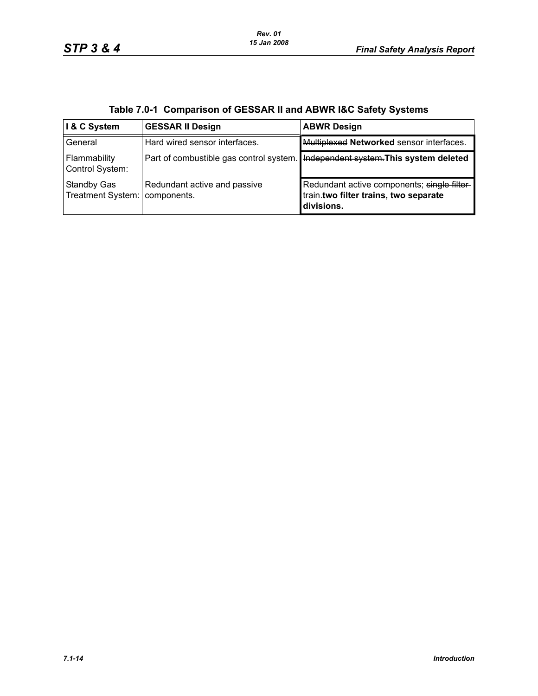| I & C System                            | <b>GESSAR II Design</b>                     | <b>ABWR Design</b>                                                                                 |
|-----------------------------------------|---------------------------------------------|----------------------------------------------------------------------------------------------------|
| General                                 | Hard wired sensor interfaces.               | Multiplexed Networked sensor interfaces.                                                           |
| Flammability<br>Control System:         | Part of combustible gas control system.     | Independent system. This system deleted                                                            |
| <b>Standby Gas</b><br>Treatment System: | Redundant active and passive<br>components. | Redundant active components; single filter-<br>train.two filter trains, two separate<br>divisions. |

|  | Table 7.0-1 Comparison of GESSAR II and ABWR I&C Safety Systems |  |
|--|-----------------------------------------------------------------|--|
|--|-----------------------------------------------------------------|--|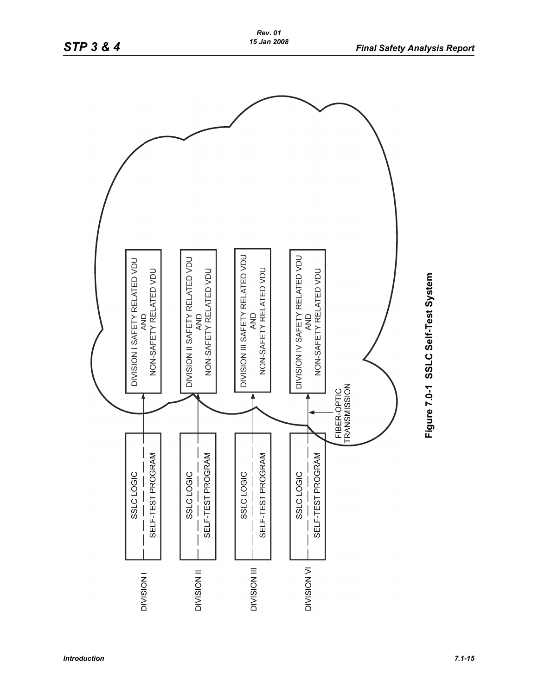